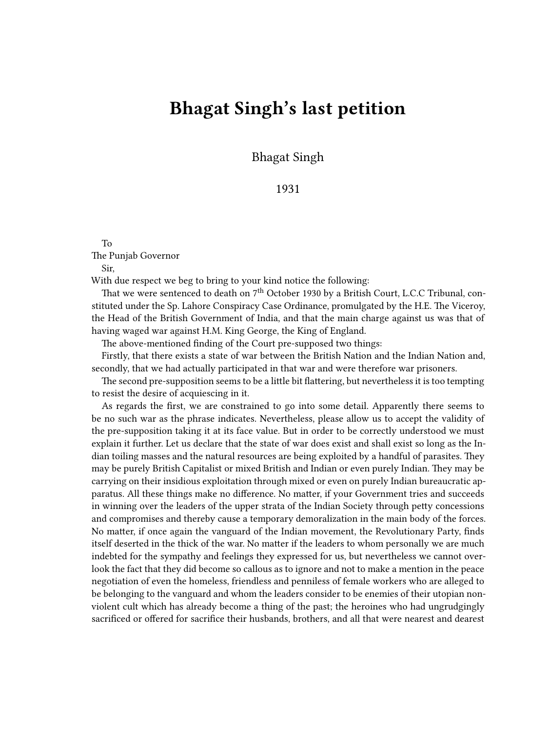## **Bhagat Singh's last petition**

Bhagat Singh

1931

To

The Punjab Governor

Sir,

With due respect we beg to bring to your kind notice the following:

That we were sentenced to death on  $7<sup>th</sup>$  October 1930 by a British Court, L.C.C Tribunal, constituted under the Sp. Lahore Conspiracy Case Ordinance, promulgated by the H.E. The Viceroy, the Head of the British Government of India, and that the main charge against us was that of having waged war against H.M. King George, the King of England.

The above-mentioned finding of the Court pre-supposed two things:

Firstly, that there exists a state of war between the British Nation and the Indian Nation and, secondly, that we had actually participated in that war and were therefore war prisoners.

The second pre-supposition seems to be a little bit flattering, but nevertheless it is too tempting to resist the desire of acquiescing in it.

As regards the first, we are constrained to go into some detail. Apparently there seems to be no such war as the phrase indicates. Nevertheless, please allow us to accept the validity of the pre-supposition taking it at its face value. But in order to be correctly understood we must explain it further. Let us declare that the state of war does exist and shall exist so long as the Indian toiling masses and the natural resources are being exploited by a handful of parasites. They may be purely British Capitalist or mixed British and Indian or even purely Indian. They may be carrying on their insidious exploitation through mixed or even on purely Indian bureaucratic apparatus. All these things make no difference. No matter, if your Government tries and succeeds in winning over the leaders of the upper strata of the Indian Society through petty concessions and compromises and thereby cause a temporary demoralization in the main body of the forces. No matter, if once again the vanguard of the Indian movement, the Revolutionary Party, finds itself deserted in the thick of the war. No matter if the leaders to whom personally we are much indebted for the sympathy and feelings they expressed for us, but nevertheless we cannot overlook the fact that they did become so callous as to ignore and not to make a mention in the peace negotiation of even the homeless, friendless and penniless of female workers who are alleged to be belonging to the vanguard and whom the leaders consider to be enemies of their utopian nonviolent cult which has already become a thing of the past; the heroines who had ungrudgingly sacrificed or offered for sacrifice their husbands, brothers, and all that were nearest and dearest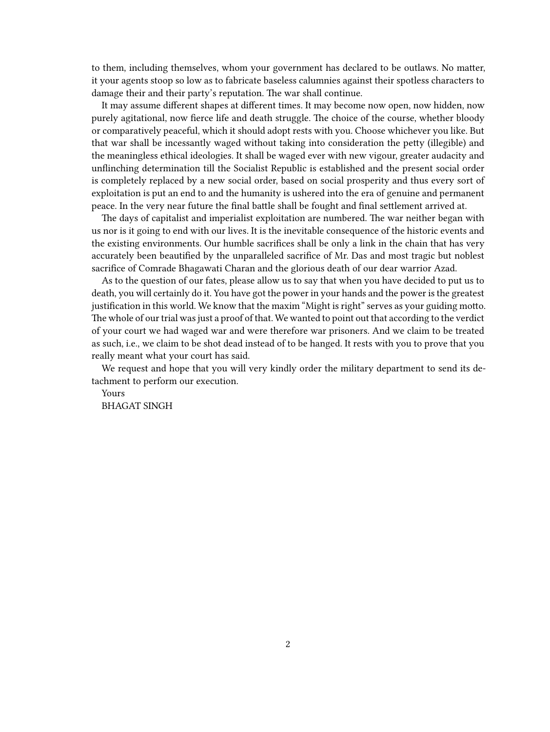to them, including themselves, whom your government has declared to be outlaws. No matter, it your agents stoop so low as to fabricate baseless calumnies against their spotless characters to damage their and their party's reputation. The war shall continue.

It may assume different shapes at different times. It may become now open, now hidden, now purely agitational, now fierce life and death struggle. The choice of the course, whether bloody or comparatively peaceful, which it should adopt rests with you. Choose whichever you like. But that war shall be incessantly waged without taking into consideration the petty (illegible) and the meaningless ethical ideologies. It shall be waged ever with new vigour, greater audacity and unflinching determination till the Socialist Republic is established and the present social order is completely replaced by a new social order, based on social prosperity and thus every sort of exploitation is put an end to and the humanity is ushered into the era of genuine and permanent peace. In the very near future the final battle shall be fought and final settlement arrived at.

The days of capitalist and imperialist exploitation are numbered. The war neither began with us nor is it going to end with our lives. It is the inevitable consequence of the historic events and the existing environments. Our humble sacrifices shall be only a link in the chain that has very accurately been beautified by the unparalleled sacrifice of Mr. Das and most tragic but noblest sacrifice of Comrade Bhagawati Charan and the glorious death of our dear warrior Azad.

As to the question of our fates, please allow us to say that when you have decided to put us to death, you will certainly do it. You have got the power in your hands and the power is the greatest justification in this world. We know that the maxim "Might is right" serves as your guiding motto. The whole of our trial was just a proof of that. We wanted to point out that according to the verdict of your court we had waged war and were therefore war prisoners. And we claim to be treated as such, i.e., we claim to be shot dead instead of to be hanged. It rests with you to prove that you really meant what your court has said.

We request and hope that you will very kindly order the military department to send its detachment to perform our execution.

Yours BHAGAT SINGH